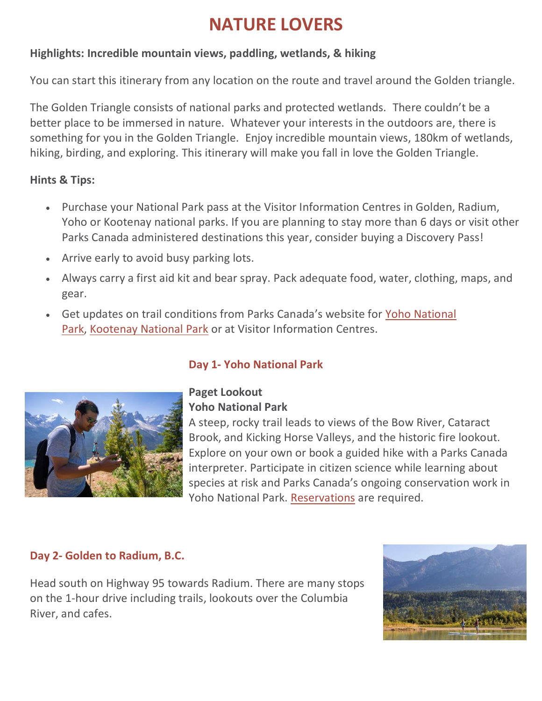# **NATURE LOVERS**

### **Highlights: Incredible mountain views, paddling, wetlands, & hiking**

You can start this itinerary from any location on the route and travel around the Golden triangle.

The Golden Triangle consists of national parks and protected wetlands. There couldn't be a better place to be immersed in nature. Whatever your interests in the outdoors are, there is something for you in the Golden Triangle. Enjoy incredible mountain views, 180km of wetlands, hiking, birding, and exploring. This itinerary will make you fall in love the Golden Triangle.

#### **Hints & Tips:**

- Purchase your National Park pass at the Visitor Information Centres in Golden, Radium, Yoho or Kootenay national parks. If you are planning to stay more than 6 days or visit other Parks Canada administered destinations this year, consider buying a Discovery Pass!
- Arrive early to avoid busy parking lots.
- Always carry a first aid kit and bear spray. Pack adequate food, water, clothing, maps, and gear.
- Get updates on trail conditions from Parks Canada's website for [Yoho National](https://www.pc.gc.ca/en/pn-np/bc/yoho/activ/randonnee-hike/etat-sentiers-trail-conditions)  [Park,](https://www.pc.gc.ca/en/pn-np/bc/yoho/activ/randonnee-hike/etat-sentiers-trail-conditions) [Kootenay National Park](https://www.pc.gc.ca/en/pn-np/bc/kootenay/activ/randonnee-hike/etat-sentiers-trail-conditions) or at Visitor Information Centres.



## **Day 1- Yoho National Park**

#### **Paget Lookout Yoho National Park**

A steep, rocky trail leads to views of the Bow River, Cataract Brook, and Kicking Horse Valleys, and the historic fire lookout. Explore on your own or book a guided hike with a Parks Canada interpreter. Participate in citizen science while learning about species at risk and Parks Canada's ongoing conservation work in Yoho National Park. [Reservations](https://www.pc.gc.ca/en/pn-np/bc/yoho/activ/guidee-conservation-guided/paget) are required.

#### **Day 2- Golden to Radium, B.C.**

Head south on Highway 95 towards Radium. There are many stops on the 1-hour drive including trails, lookouts over the Columbia River, and cafes.